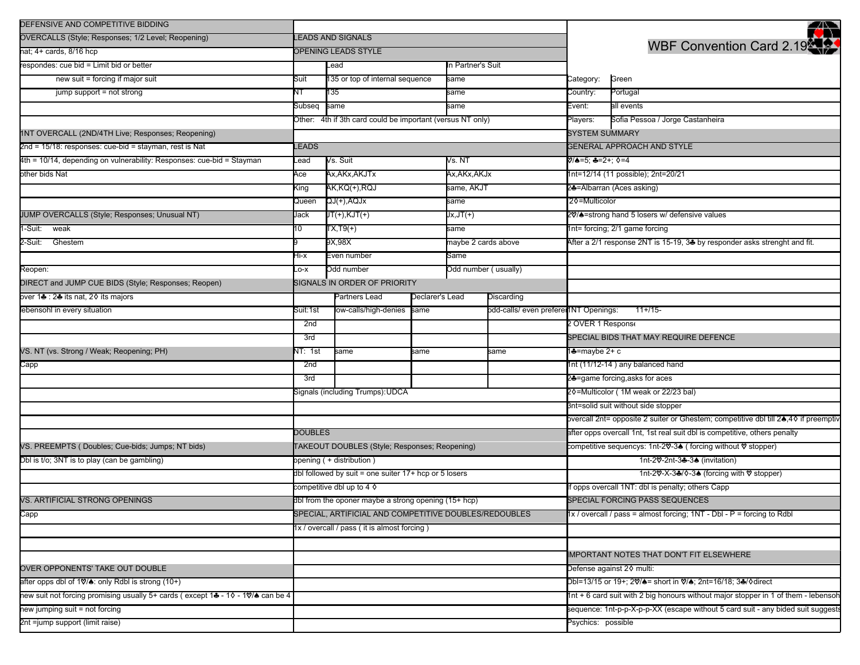| DEFENSIVE AND COMPETITIVE BIDDING                                               |                                                                                                                                |                                                            |      |                                       |                                      |                                                                                     | -42                                                                                   |  |
|---------------------------------------------------------------------------------|--------------------------------------------------------------------------------------------------------------------------------|------------------------------------------------------------|------|---------------------------------------|--------------------------------------|-------------------------------------------------------------------------------------|---------------------------------------------------------------------------------------|--|
| OVERCALLS (Style; Responses; 1/2 Level; Reopening)                              | <b>LEADS AND SIGNALS</b>                                                                                                       |                                                            |      |                                       |                                      |                                                                                     |                                                                                       |  |
| nat; 4+ cards, 8/16 hcp                                                         | <b>DPENING LEADS STYLE</b>                                                                                                     |                                                            |      |                                       |                                      | WBF Convention Card 2.19                                                            |                                                                                       |  |
| respondes: cue bid = Limit bid or better                                        |                                                                                                                                | In Partner's Suit<br>Lead                                  |      |                                       |                                      |                                                                                     |                                                                                       |  |
| new suit = forcing if major suit                                                | Suit                                                                                                                           | 135 or top of internal sequence                            |      | same                                  |                                      | Category:                                                                           | Green                                                                                 |  |
| jump support = not strong                                                       | NT                                                                                                                             | 135                                                        |      | same                                  |                                      | Country:                                                                            | Portugal                                                                              |  |
|                                                                                 | Subseq                                                                                                                         | same                                                       |      | same                                  |                                      | Event:                                                                              | all events                                                                            |  |
|                                                                                 |                                                                                                                                | Other: 4th if 3th card could be important (versus NT only) |      |                                       |                                      | Players:                                                                            | Sofia Pessoa / Jorge Castanheira                                                      |  |
| 1NT OVERCALL (2ND/4TH Live; Responses; Reopening)                               |                                                                                                                                |                                                            |      |                                       |                                      | <b>SYSTEM SUMMARY</b>                                                               |                                                                                       |  |
| 2nd = 15/18: responses: cue-bid = stayman, rest is Nat                          | <b>EADS</b>                                                                                                                    |                                                            |      |                                       |                                      | <b>GENERAL APPROACH AND STYLE</b>                                                   |                                                                                       |  |
| 4th = 10/14, depending on vulnerability: Responses: cue-bid = Stayman           | _ead                                                                                                                           | Vs. Suit                                                   |      | Vs. NT                                |                                      | V/♠=5; ♣=2+; ◊=4                                                                    |                                                                                       |  |
| other bids Nat                                                                  | Ace                                                                                                                            | Ax,AKx,AKJTx                                               |      | Ax,AKx,AKJx                           |                                      | 1nt=12/14 (11 possible); 2nt=20/21                                                  |                                                                                       |  |
|                                                                                 | <ing< td=""><td>AK,KQ(+),RQJ</td><td></td><td colspan="2">same, AKJT</td><td colspan="2">2--Albarran (Aces asking)</td></ing<> | AK,KQ(+),RQJ                                               |      | same, AKJT                            |                                      | 2--Albarran (Aces asking)                                                           |                                                                                       |  |
|                                                                                 | Queen                                                                                                                          | QJ(+),AQJx                                                 |      | same                                  |                                      | 20=Multicolor                                                                       |                                                                                       |  |
| JUMP OVERCALLS (Style; Responses; Unusual NT)                                   | Jack                                                                                                                           | $JT(+), KJT(+)$                                            |      |                                       | $Jx, JT(+)$                          |                                                                                     | 20% = strong hand 5 losers w/ defensive values                                        |  |
| -Suit: weak                                                                     | 10                                                                                                                             | $TX,T9(+)$                                                 |      | same                                  |                                      | 1nt= forcing; 2/1 game forcing                                                      |                                                                                       |  |
| 2-Suit: Ghestem                                                                 |                                                                                                                                | 9X,98X                                                     |      |                                       | maybe 2 cards above                  |                                                                                     | After a 2/1 response 2NT is 15-19, 3 <sup>1</sup> by responder asks strenght and fit. |  |
|                                                                                 | -li-x                                                                                                                          | Even number                                                |      | Same                                  |                                      |                                                                                     |                                                                                       |  |
| Reopen:                                                                         | Lo-x                                                                                                                           | Odd number                                                 |      |                                       | Odd number (usually)                 |                                                                                     |                                                                                       |  |
| DIRECT and JUMP CUE BIDS (Style; Responses; Reopen)                             | SIGNALS IN ORDER OF PRIORITY                                                                                                   |                                                            |      |                                       |                                      |                                                                                     |                                                                                       |  |
| over 1♣ : 2♣ its nat, 2♦ its majors                                             | Partners Lead<br>Declarer's Lead<br>Discarding                                                                                 |                                                            |      |                                       |                                      |                                                                                     |                                                                                       |  |
| ebensohl in every situation                                                     | low-calls/high-denies<br>Suit:1st                                                                                              |                                                            | same | odd-calls/ even prefere 1NT Openings: |                                      | $11+/15-$                                                                           |                                                                                       |  |
|                                                                                 | 2nd                                                                                                                            |                                                            |      |                                       |                                      | 2 OVER 1 Response                                                                   |                                                                                       |  |
|                                                                                 | 3rd                                                                                                                            |                                                            |      |                                       |                                      | SPECIAL BIDS THAT MAY REQUIRE DEFENCE                                               |                                                                                       |  |
| VS. NT (vs. Strong / Weak; Reopening; PH)                                       | NT: 1st                                                                                                                        | same<br>same                                               |      |                                       | same                                 | 1♣=maybe 2+ c                                                                       |                                                                                       |  |
| Capp                                                                            | 2nd                                                                                                                            |                                                            |      |                                       |                                      |                                                                                     | 1nt (11/12-14) any balanced hand                                                      |  |
|                                                                                 | 3rd                                                                                                                            |                                                            |      |                                       |                                      | 24=game forcing, asks for aces                                                      |                                                                                       |  |
|                                                                                 |                                                                                                                                | Signals (including Trumps): UDCA                           |      |                                       | 20=Multicolor (1M weak or 22/23 bal) |                                                                                     |                                                                                       |  |
|                                                                                 |                                                                                                                                |                                                            |      |                                       |                                      | 3nt=solid suit without side stopper                                                 |                                                                                       |  |
|                                                                                 |                                                                                                                                |                                                            |      |                                       |                                      | overcall 2nt= opposite 2 suiter or Ghestem; competitive dbl till 2▲,40 if preemptiv |                                                                                       |  |
|                                                                                 | <b>DOUBLES</b>                                                                                                                 |                                                            |      |                                       |                                      | after opps overcall 1nt, 1st real suit dbl is competitive, others penalty           |                                                                                       |  |
| VS. PREEMPTS (Doubles; Cue-bids; Jumps; NT bids)                                |                                                                                                                                | TAKEOUT DOUBLES (Style; Responses; Reopening)              |      |                                       |                                      |                                                                                     | competitive sequencys: 1nt-2♡-3▲ (forcing without ♡ stopper)                          |  |
| Dbl is t/o; 3NT is to play (can be gambling)                                    | opening ( + distribution )                                                                                                     |                                                            |      |                                       |                                      |                                                                                     | 1nt-2♡-2nt-3♣-3♠ (invitation)                                                         |  |
|                                                                                 | dbl followed by suit = one suiter 17+ hcp or 5 losers                                                                          |                                                            |      |                                       |                                      |                                                                                     | 1nt-20°-X-3♣/◊-3♠ (forcing with Ø stopper)                                            |  |
|                                                                                 | competitive dbl up to 4 $\diamond$                                                                                             |                                                            |      |                                       |                                      |                                                                                     | f opps overcall 1NT: dbl is penalty; others Capp                                      |  |
| VS. ARTIFICIAL STRONG OPENINGS                                                  | dbl from the oponer maybe a strong opening (15+ hcp)                                                                           |                                                            |      |                                       |                                      |                                                                                     | SPECIAL FORCING PASS SEQUENCES                                                        |  |
| Capp                                                                            | SPECIAL, ARTIFICIAL AND COMPETITIVE DOUBLES/REDOUBLES                                                                          |                                                            |      |                                       |                                      |                                                                                     | $1x /$ overcall / pass = almost forcing; $1NT - Dbl - P =$ forcing to Rdbl            |  |
|                                                                                 | 1x / overcall / pass (it is almost forcing)                                                                                    |                                                            |      |                                       |                                      |                                                                                     |                                                                                       |  |
|                                                                                 |                                                                                                                                |                                                            |      |                                       |                                      |                                                                                     |                                                                                       |  |
|                                                                                 |                                                                                                                                |                                                            |      |                                       |                                      |                                                                                     | <b>IMPORTANT NOTES THAT DON'T FIT ELSEWHERE</b>                                       |  |
| OVER OPPONENTS' TAKE OUT DOUBLE                                                 |                                                                                                                                |                                                            |      |                                       |                                      | Defense against 20 multi:                                                           |                                                                                       |  |
| after opps dbl of 1♡/▲: only Rdbl is strong (10+)                               |                                                                                                                                |                                                            |      |                                       |                                      | Dbl=13/15 or 19+; 2♡/♠= short in ♡/♠; 2nt=16/18; 3♣/�direct                         |                                                                                       |  |
| hew suit not forcing promising usually 5+ cards (except 1+ - 10 - 10/4 can be 4 |                                                                                                                                |                                                            |      |                                       |                                      | 1nt + 6 card suit with 2 big honours without major stopper in 1 of them - lebensoh  |                                                                                       |  |
| new jumping suit = not forcing                                                  |                                                                                                                                |                                                            |      |                                       |                                      | sequence: 1nt-p-p-X-p-p-XX (escape without 5 card suit - any bided suit suggests    |                                                                                       |  |
| 2nt =jump support (limit raise)                                                 |                                                                                                                                |                                                            |      |                                       |                                      | Psychics: possible                                                                  |                                                                                       |  |